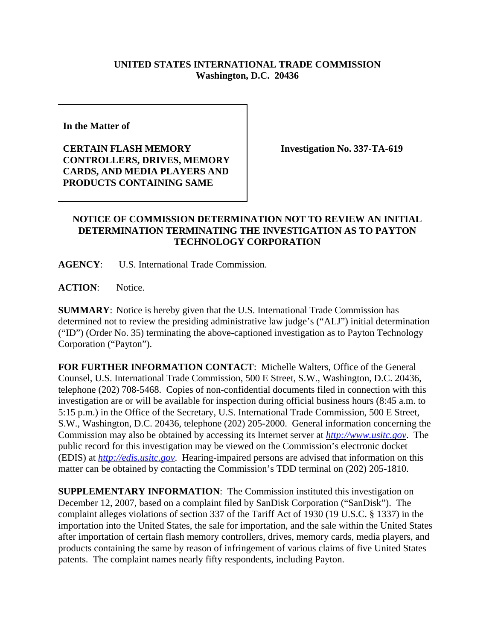## **UNITED STATES INTERNATIONAL TRADE COMMISSION Washington, D.C. 20436**

**In the Matter of** 

**CERTAIN FLASH MEMORY CONTROLLERS, DRIVES, MEMORY CARDS, AND MEDIA PLAYERS AND PRODUCTS CONTAINING SAME**

**Investigation No. 337-TA-619**

## **NOTICE OF COMMISSION DETERMINATION NOT TO REVIEW AN INITIAL DETERMINATION TERMINATING THE INVESTIGATION AS TO PAYTON TECHNOLOGY CORPORATION**

**AGENCY**: U.S. International Trade Commission.

**ACTION**: Notice.

**SUMMARY**: Notice is hereby given that the U.S. International Trade Commission has determined not to review the presiding administrative law judge's ("ALJ") initial determination ("ID") (Order No. 35) terminating the above-captioned investigation as to Payton Technology Corporation ("Payton").

**FOR FURTHER INFORMATION CONTACT**: Michelle Walters, Office of the General Counsel, U.S. International Trade Commission, 500 E Street, S.W., Washington, D.C. 20436, telephone (202) 708-5468. Copies of non-confidential documents filed in connection with this investigation are or will be available for inspection during official business hours (8:45 a.m. to 5:15 p.m.) in the Office of the Secretary, U.S. International Trade Commission, 500 E Street, S.W., Washington, D.C. 20436, telephone (202) 205-2000. General information concerning the Commission may also be obtained by accessing its Internet server at *http://www.usitc.gov*. The public record for this investigation may be viewed on the Commission's electronic docket (EDIS) at *http://edis.usitc.gov*. Hearing-impaired persons are advised that information on this matter can be obtained by contacting the Commission's TDD terminal on (202) 205-1810.

**SUPPLEMENTARY INFORMATION**: The Commission instituted this investigation on December 12, 2007, based on a complaint filed by SanDisk Corporation ("SanDisk"). The complaint alleges violations of section 337 of the Tariff Act of 1930 (19 U.S.C. § 1337) in the importation into the United States, the sale for importation, and the sale within the United States after importation of certain flash memory controllers, drives, memory cards, media players, and products containing the same by reason of infringement of various claims of five United States patents. The complaint names nearly fifty respondents, including Payton.